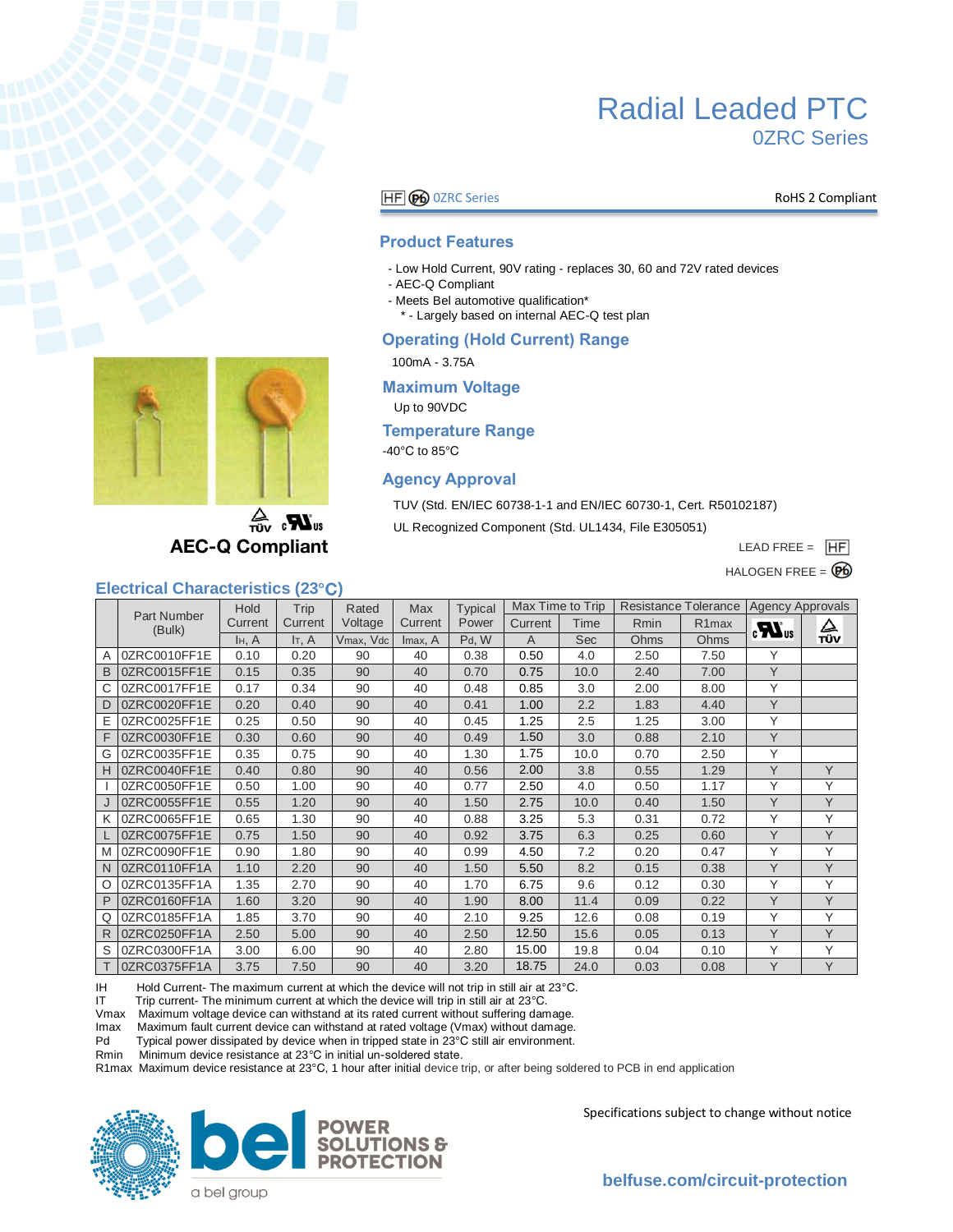

### **HF GO** OZRC Series **RoHS 2 Compliant**

#### **Product Features**

- Low Hold Current, 90V rating replaces 30, 60 and 72V rated devices
- AEC-Q Compliant
- Meets Bel automotive qualification\*
	- \* Largely based on internal AEC-Q test plan

#### **Operating (Hold Current) Range**

100mA - 3.75A

#### **Maximum Voltage**

Up to 90VDC

#### **Temperature Range**

-40°C to 85°C

#### **Agency Approval**

TUV (Std. EN/IEC 60738-1-1 and EN/IEC 60730-1, Cert. R50102187)

UL Recognized Component (Std. UL1434, File E305051)

LEAD FREE =  $\overline{H}\overline{F}$ 

HALOGEN FREE  $= \mathbf{\Theta}$ 



 $\sum_{\text{UIV}}$ **AEC-Q Compliant** 

#### **Electrical Characteristics (23°C)**

|   |                       | <b>Hold</b>        | Trip        | Rated     | Max     | <b>Typical</b> | Max Time to Trip |            | Resistance Tolerance   Agency Approvals |                    |                  |     |
|---|-----------------------|--------------------|-------------|-----------|---------|----------------|------------------|------------|-----------------------------------------|--------------------|------------------|-----|
|   | Part Number<br>(Bulk) | Current            | Current     | Voltage   | Current | Power          | Current          | Time       | Rmin                                    | R <sub>1</sub> max | $\boldsymbol{u}$ | △   |
|   |                       | I <sub>H</sub> , A | $I_{T}$ , A | Vmax, Vdc | Imax, A | Pd, W          | $\overline{A}$   | <b>Sec</b> | Ohms                                    | Ohms               |                  | TÜV |
| A | 0ZRC0010FF1E          | 0.10               | 0.20        | 90        | 40      | 0.38           | 0.50             | 4.0        | 2.50                                    | 7.50               | Υ                |     |
| B | 0ZRC0015FF1E          | 0.15               | 0.35        | 90        | 40      | 0.70           | 0.75             | 10.0       | 2.40                                    | 7.00               | Y                |     |
| С | 0ZRC0017FF1E          | 0.17               | 0.34        | 90        | 40      | 0.48           | 0.85             | 3.0        | 2.00                                    | 8.00               | Υ                |     |
| D | 0ZRC0020FF1E          | 0.20               | 0.40        | 90        | 40      | 0.41           | 1.00             | 2.2        | 1.83                                    | 4.40               | Y                |     |
| Ε | 0ZRC0025FF1E          | 0.25               | 0.50        | 90        | 40      | 0.45           | 1.25             | 2.5        | 1.25                                    | 3.00               | Υ                |     |
| F | 0ZRC0030FF1E          | 0.30               | 0.60        | 90        | 40      | 0.49           | 1.50             | 3.0        | 0.88                                    | 2.10               | Y                |     |
| G | 0ZRC0035FF1E          | 0.35               | 0.75        | 90        | 40      | 1.30           | 1.75             | 10.0       | 0.70                                    | 2.50               | Υ                |     |
| Н | 0ZRC0040FF1E          | 0.40               | 0.80        | 90        | 40      | 0.56           | 2.00             | 3.8        | 0.55                                    | 1.29               | Y                | Y   |
|   | 0ZRC0050FF1E          | 0.50               | 1.00        | 90        | 40      | 0.77           | 2.50             | 4.0        | 0.50                                    | 1.17               | Υ                | Y   |
|   | 0ZRC0055FF1E          | 0.55               | 1.20        | 90        | 40      | 1.50           | 2.75             | 10.0       | 0.40                                    | 1.50               | Y                | Y   |
| Κ | 0ZRC0065FF1E          | 0.65               | 1.30        | 90        | 40      | 0.88           | 3.25             | 5.3        | 0.31                                    | 0.72               | Υ                | Y   |
|   | 0ZRC0075FF1E          | 0.75               | 1.50        | 90        | 40      | 0.92           | 3.75             | 6.3        | 0.25                                    | 0.60               | Y                | Y   |
| M | 0ZRC0090FF1E          | 0.90               | 1.80        | 90        | 40      | 0.99           | 4.50             | 7.2        | 0.20                                    | 0.47               | Y                | Y   |
| N | 0ZRC0110FF1A          | 1.10               | 2.20        | 90        | 40      | 1.50           | 5.50             | 8.2        | 0.15                                    | 0.38               | Y                | Y   |
| O | 0ZRC0135FF1A          | 1.35               | 2.70        | 90        | 40      | 1.70           | 6.75             | 9.6        | 0.12                                    | 0.30               | Υ                | Y   |
| P | 0ZRC0160FF1A          | 1.60               | 3.20        | 90        | 40      | 1.90           | 8.00             | 11.4       | 0.09                                    | 0.22               | Y                | Y   |
| Q | 0ZRC0185FF1A          | 1.85               | 3.70        | 90        | 40      | 2.10           | 9.25             | 12.6       | 0.08                                    | 0.19               | Υ                | Y   |
| R | 0ZRC0250FF1A          | 2.50               | 5.00        | 90        | 40      | 2.50           | 12.50            | 15.6       | 0.05                                    | 0.13               | Y                | Y   |
| S | 0ZRC0300FF1A          | 3.00               | 6.00        | 90        | 40      | 2.80           | 15.00            | 19.8       | 0.04                                    | 0.10               | Υ                | Y   |
|   | 0ZRC0375FF1A          | 3.75               | 7.50        | 90        | 40      | 3.20           | 18.75            | 24.0       | 0.03                                    | 0.08               | Y                | Y   |

IH Hold Current- The maximum current at which the device will not trip in still air at 23°C.<br>IT Trip current- The minimum current at which the device will trip in still air at 23°C.

Trip current- The minimum current at which the device will trip in still air at 23°C.

Vmax Maximum voltage device can withstand at its rated current without suffering damage.

Maximum fault current device can withstand at rated voltage (Vmax) without damage.

Pd Typical power dissipated by device when in tripped state in 23°C still air environment.

Rmin Minimum device resistance at 23°C in initial un-soldered state.

R1max Maximum device resistance at 23°C, 1 hour after initial device trip, or after being soldered to PCB in end application





Specifications subject to change without notice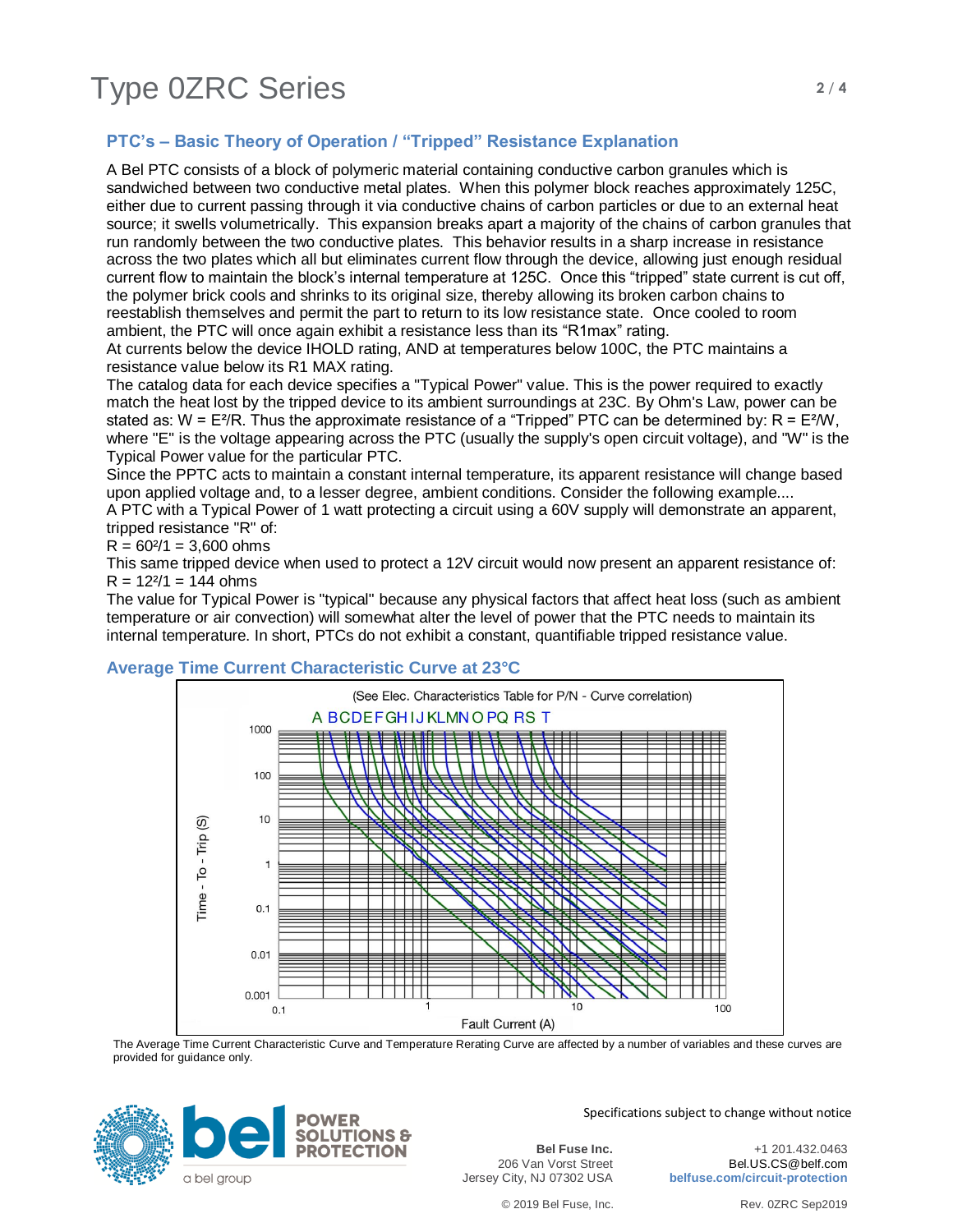# Type 0ZRC Series **2/4**

# **PTC's – Basic Theory of Operation / "Tripped" Resistance Explanation**

A Bel PTC consists of a block of polymeric material containing conductive carbon granules which is sandwiched between two conductive metal plates. When this polymer block reaches approximately 125C, either due to current passing through it via conductive chains of carbon particles or due to an external heat source; it swells volumetrically. This expansion breaks apart a majority of the chains of carbon granules that run randomly between the two conductive plates. This behavior results in a sharp increase in resistance across the two plates which all but eliminates current flow through the device, allowing just enough residual current flow to maintain the block's internal temperature at 125C. Once this "tripped" state current is cut off, the polymer brick cools and shrinks to its original size, thereby allowing its broken carbon chains to reestablish themselves and permit the part to return to its low resistance state. Once cooled to room ambient, the PTC will once again exhibit a resistance less than its "R1max" rating.

At currents below the device IHOLD rating, AND at temperatures below 100C, the PTC maintains a resistance value below its R1 MAX rating.

The catalog data for each device specifies a "Typical Power" value. This is the power required to exactly match the heat lost by the tripped device to its ambient surroundings at 23C. By Ohm's Law, power can be stated as:  $W = E^{2}/R$ . Thus the approximate resistance of a "Tripped" PTC can be determined by:  $R = E^{2}/W$ , where "E" is the voltage appearing across the PTC (usually the supply's open circuit voltage), and "W" is the Typical Power value for the particular PTC.

Since the PPTC acts to maintain a constant internal temperature, its apparent resistance will change based upon applied voltage and, to a lesser degree, ambient conditions. Consider the following example.... A PTC with a Typical Power of 1 watt protecting a circuit using a 60V supply will demonstrate an apparent,

tripped resistance "R" of:

 $R = 60<sup>2</sup>/1 = 3,600$  ohms

This same tripped device when used to protect a 12V circuit would now present an apparent resistance of:  $R = 12^{2}/1 = 144$  ohms

The value for Typical Power is "typical" because any physical factors that affect heat loss (such as ambient temperature or air convection) will somewhat alter the level of power that the PTC needs to maintain its internal temperature. In short, PTCs do not exhibit a constant, quantifiable tripped resistance value.

### **Average Time Current Characteristic Curve at 23°C**



The Average Time Current Characteristic Curve and Temperature Rerating Curve are affected by a number of variables and these curves are provided for guidance only.



Specifications subject to change without notice

**Bel Fuse Inc.** 206 Van Vorst Street Jersey City, NJ 07302 USA

+1 201.432.0463 Bel.US.CS@belf.com **belfuse.com/circuit-protection**

© 2019 Bel Fuse, Inc. Rev. 0ZRC Sep2019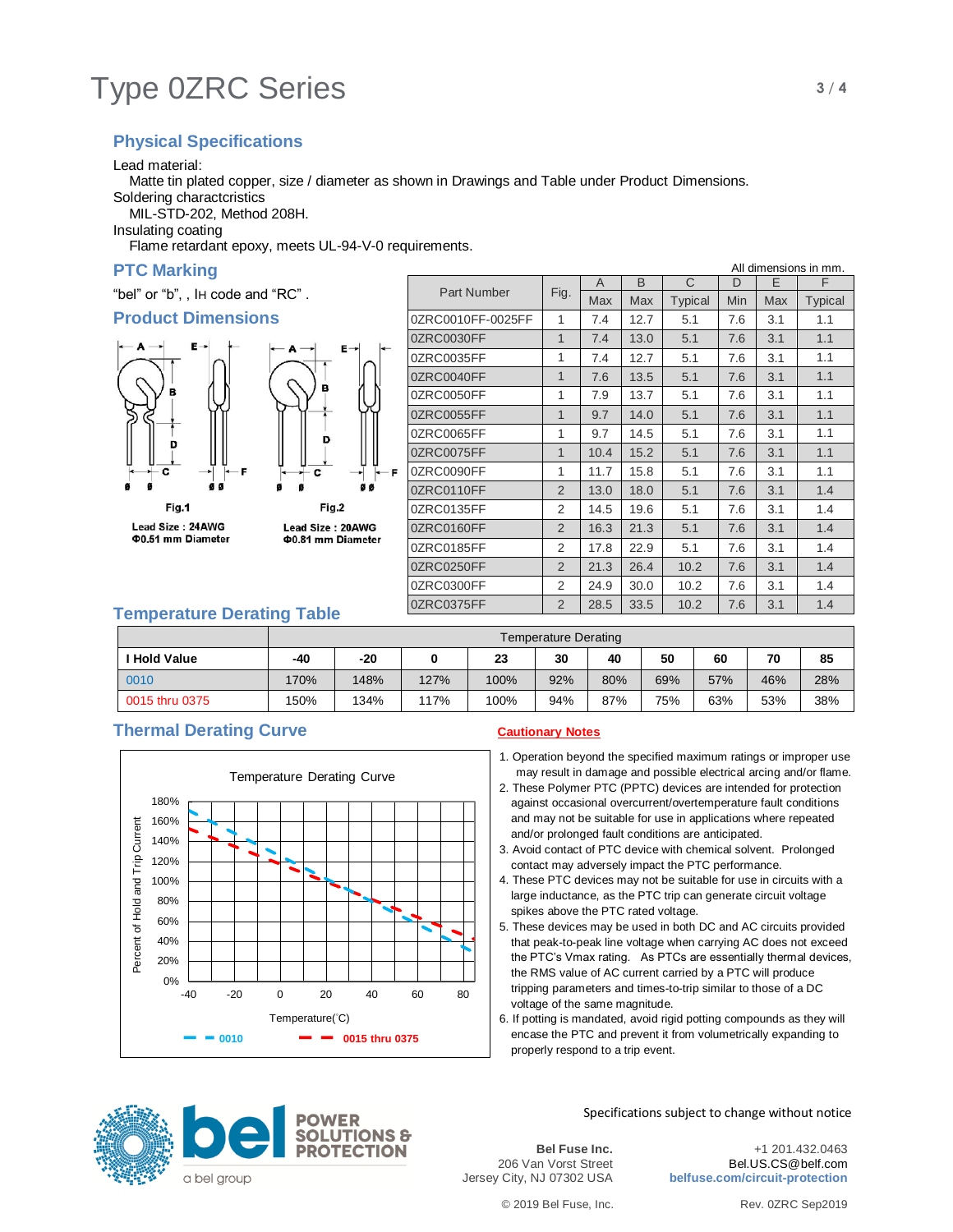# Type 0ZRC Series **3/4**

# **Physical Specifications**

Lead material:

Matte tin plated copper, size / diameter as shown in Drawings and Table under Product Dimensions.

Soldering charactcristics

MIL-STD-202, Method 208H.

Insulating coating

Flame retardant epoxy, meets UL-94-V-0 requirements.

## **PTC Marking**

"bel" or "b", , IH code and "RC" .

### **Product Dimensions**







|                    |                | A          | B    | C              | D   | E   | F       |
|--------------------|----------------|------------|------|----------------|-----|-----|---------|
| <b>Part Number</b> | Fig.           | <b>Max</b> | Max  | <b>Typical</b> | Min | Max | Typical |
| 0ZRC0010FF-0025FF  | 1              | 7.4        | 12.7 | 5.1            | 7.6 | 3.1 | 1.1     |
| 0ZRC0030FF         | $\mathbf{1}$   | 7.4        | 13.0 | 5.1            | 7.6 | 3.1 | 1.1     |
| 0ZRC0035FF         | 1              | 7.4        | 12.7 | 5.1            | 7.6 | 3.1 | 1.1     |
| 0ZRC0040FF         | 1              | 7.6        | 13.5 | 5.1            | 7.6 | 3.1 | 1.1     |
| 0ZRC0050FF         | 1              | 7.9        | 13.7 | 5.1            | 7.6 | 3.1 | 1.1     |
| 0ZRC0055FF         | 1              | 9.7        | 14.0 | 5.1            | 7.6 | 3.1 | 1.1     |
| 0ZRC0065FF         | 1              | 9.7        | 14.5 | 5.1            | 7.6 | 3.1 | 1.1     |
| 0ZRC0075FF         | $\mathbf{1}$   | 10.4       | 15.2 | 5.1            | 7.6 | 3.1 | 1.1     |
| 0ZRC0090FF         | 1              | 11.7       | 15.8 | 5.1            | 7.6 | 3.1 | 1.1     |
| 0ZRC0110FF         | $\overline{2}$ | 13.0       | 18.0 | 5.1            | 7.6 | 3.1 | 1.4     |
| 0ZRC0135FF         | 2              | 14.5       | 19.6 | 5.1            | 7.6 | 3.1 | 1.4     |
| 0ZRC0160FF         | $\overline{2}$ | 16.3       | 21.3 | 5.1            | 7.6 | 3.1 | 1.4     |
| 0ZRC0185FF         | 2              | 17.8       | 22.9 | 5.1            | 7.6 | 3.1 | 1.4     |
| 0ZRC0250FF         | $\overline{2}$ | 21.3       | 26.4 | 10.2           | 7.6 | 3.1 | 1.4     |
| 0ZRC0300FF         | 2              | 24.9       | 30.0 | 10.2           | 7.6 | 3.1 | 1.4     |
| 0ZRC0375FF         | $\overline{2}$ | 28.5       | 33.5 | 10.2           | 7.6 | 3.1 | 1.4     |
|                    |                |            |      |                |     |     |         |

## **Temperature Derating Table**

|                   | Temperature Derating |      |      |      |     |     |     |     |     |     |
|-------------------|----------------------|------|------|------|-----|-----|-----|-----|-----|-----|
| <b>Hold Value</b> | $-40$                | -20  |      | 23   | 30  | 40  | 50  | 60  | 70  | 85  |
| 0010              | 170%                 | 148% | 127% | 100% | 92% | 80% | 69% | 57% | 46% | 28% |
| 0015 thru 0375    | 150%                 | 134% | 117% | 100% | 94% | 87% | 75% | 63% | 53% | 38% |

## **Thermal Derating Curve Cautionary Notes**



- 1. Operation beyond the specified maximum ratings or improper use may result in damage and possible electrical arcing and/or flame.
- 2. These Polymer PTC (PPTC) devices are intended for protection against occasional overcurrent/overtemperature fault conditions and may not be suitable for use in applications where repeated and/or prolonged fault conditions are anticipated.
- 3. Avoid contact of PTC device with chemical solvent. Prolonged contact may adversely impact the PTC performance.
- 4. These PTC devices may not be suitable for use in circuits with a large inductance, as the PTC trip can generate circuit voltage spikes above the PTC rated voltage.
- 5. These devices may be used in both DC and AC circuits provided that peak-to-peak line voltage when carrying AC does not exceed the PTC's Vmax rating. As PTCs are essentially thermal devices, the RMS value of AC current carried by a PTC will produce tripping parameters and times-to-trip similar to those of a DC voltage of the same magnitude.
- 6. If potting is mandated, avoid rigid potting compounds as they will encase the PTC and prevent it from volumetrically expanding to properly respond to a trip event.



Specifications subject to change without notice

**Bel Fuse Inc.** 206 Van Vorst Street Jersey City, NJ 07302 USA

+1 201.432.0463 Bel.US.CS@belf.com **belfuse.com/circuit-protection**

© 2019 Bel Fuse, Inc. Rev. 0ZRC Sep2019



All dimensions in mm.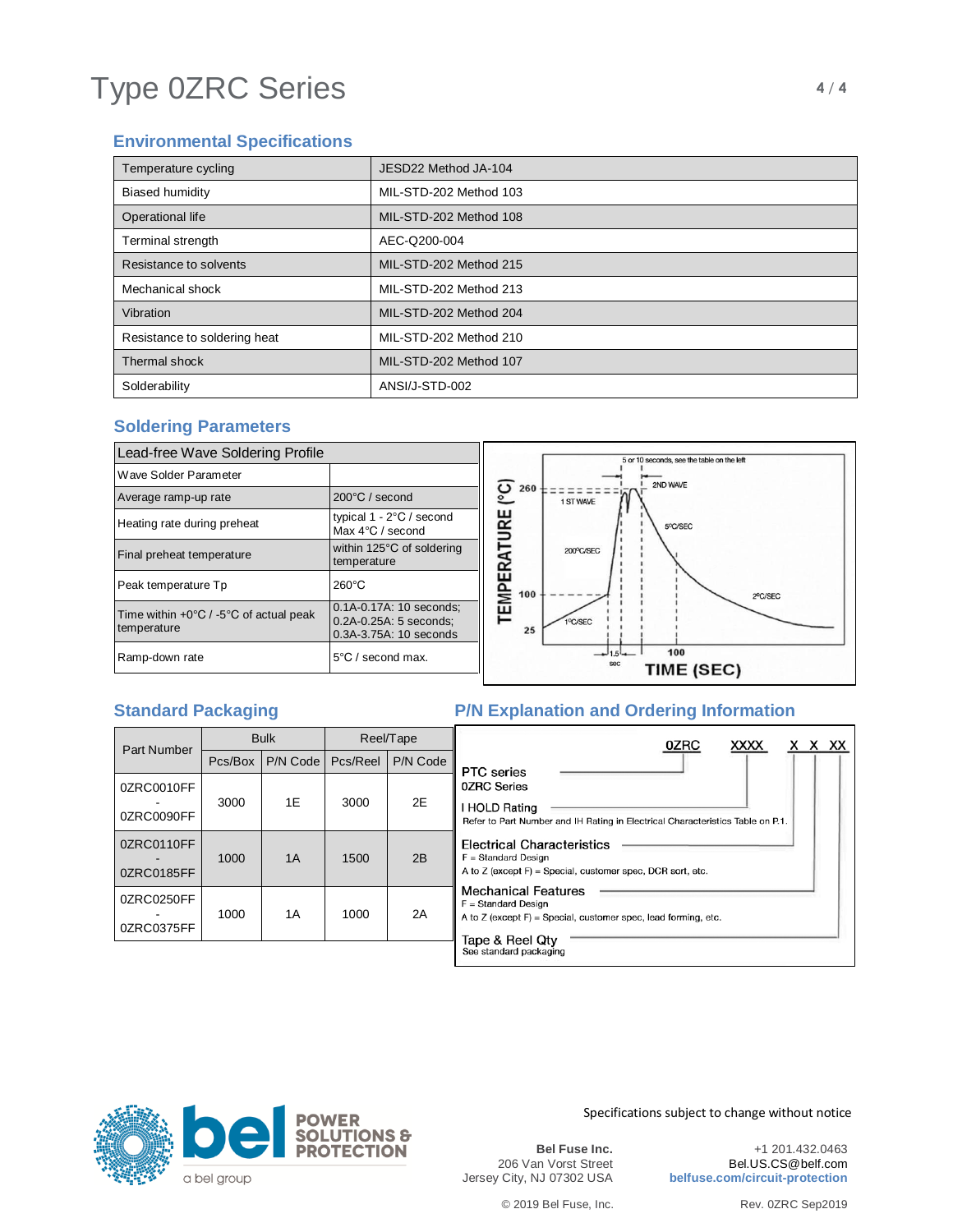# Type 0ZRC Series **4/4**

# **Environmental Specifications**

| Temperature cycling          | JESD22 Method JA-104   |
|------------------------------|------------------------|
| <b>Biased humidity</b>       | MIL-STD-202 Method 103 |
| Operational life             | MIL-STD-202 Method 108 |
| Terminal strength            | AEC-Q200-004           |
| Resistance to solvents       | MIL-STD-202 Method 215 |
| Mechanical shock             | MIL-STD-202 Method 213 |
| Vibration                    | MIL-STD-202 Method 204 |
| Resistance to soldering heat | MIL-STD-202 Method 210 |
| Thermal shock                | MIL-STD-202 Method 107 |
| Solderability                | ANSI/J-STD-002         |

# **Soldering Parameters**



# **Standard Packaging The P/N Explanation and Ordering Information**

| <b>Part Number</b>       | <b>Bulk</b><br>P/N Code<br>Pcs/Box |    | Reel/Tape |          | x x xx<br>0ZRC<br><b>XXXX</b>                                                                                                                 |  |  |  |  |  |  |
|--------------------------|------------------------------------|----|-----------|----------|-----------------------------------------------------------------------------------------------------------------------------------------------|--|--|--|--|--|--|
|                          |                                    |    | Pcs/Reel  | P/N Code | PTC series                                                                                                                                    |  |  |  |  |  |  |
| 0ZRC0010FF<br>0ZRC0090FF | 3000                               | 1E | 3000      | 2E       | <b>0ZRC Series</b><br>I HOLD Rating<br>Refer to Part Number and IH Rating in Electrical Characteristics Table on P.1.                         |  |  |  |  |  |  |
| 0ZRC0110FF<br>0ZRC0185FF | 1000                               | 1A | 1500      | 2B       | Electrical Characteristics<br>$F = Standard Design$<br>A to $Z$ (except $F$ ) = Special, customer spec, DCR sort, etc.                        |  |  |  |  |  |  |
| 0ZRC0250FF<br>0ZRC0375FF | 1000                               | 1A | 1000      | 2A       | <b>Mechanical Features</b><br>$F = Standard Design$<br>A to $Z$ (except $F$ ) = Special, customer spec, lead forming, etc.<br>Tape & Reel Qty |  |  |  |  |  |  |
|                          |                                    |    |           |          | See standard packaging                                                                                                                        |  |  |  |  |  |  |



Specifications subject to change without notice

**Bel Fuse Inc.** 206 Van Vorst Street Jersey City, NJ 07302 USA

+1 201.432.0463 Bel.US.CS@belf.com **belfuse.com/circuit-protection**

© 2019 Bel Fuse, Inc. Rev. 0ZRC Sep2019